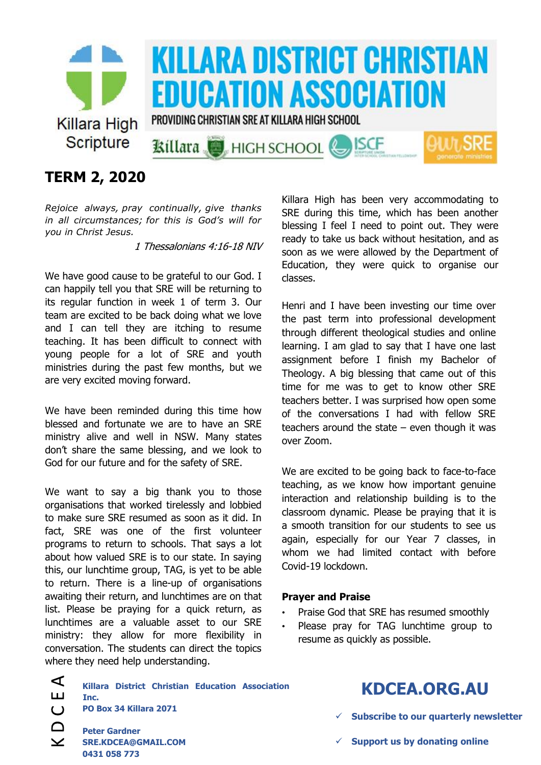

## **TERM 2, 2020**

*Rejoice always, pray continually, give thanks in all circumstances; for this is God's will for you in Christ Jesus.*

1 Thessalonians 4:16-18 NIV

We have good cause to be grateful to our God. I can happily tell you that SRE will be returning to its regular function in week 1 of term 3. Our team are excited to be back doing what we love and I can tell they are itching to resume teaching. It has been difficult to connect with young people for a lot of SRE and youth ministries during the past few months, but we are very excited moving forward.

We have been reminded during this time how blessed and fortunate we are to have an SRE ministry alive and well in NSW. Many states don't share the same blessing, and we look to God for our future and for the safety of SRE.

We want to say a big thank you to those organisations that worked tirelessly and lobbied to make sure SRE resumed as soon as it did. In fact, SRE was one of the first volunteer programs to return to schools. That says a lot about how valued SRE is to our state. In saying this, our lunchtime group, TAG, is yet to be able to return. There is a line-up of organisations awaiting their return, and lunchtimes are on that list. Please be praying for a quick return, as lunchtimes are a valuable asset to our SRE ministry: they allow for more flexibility in conversation. The students can direct the topics where they need help understanding.

Killara High has been very accommodating to SRE during this time, which has been another blessing I feel I need to point out. They were ready to take us back without hesitation, and as soon as we were allowed by the Department of Education, they were quick to organise our classes.

Henri and I have been investing our time over the past term into professional development through different theological studies and online learning. I am glad to say that I have one last assignment before I finish my Bachelor of Theology. A big blessing that came out of this time for me was to get to know other SRE teachers better. I was surprised how open some of the conversations I had with fellow SRE teachers around the state  $-$  even though it was over Zoom.

We are excited to be going back to face-to-face teaching, as we know how important genuine interaction and relationship building is to the classroom dynamic. Please be praying that it is a smooth transition for our students to see us again, especially for our Year 7 classes, in whom we had limited contact with before Covid-19 lockdown.

#### **Prayer and Praise**

- Praise God that SRE has resumed smoothly
- Please pray for TAG lunchtime group to resume as quickly as possible.
- $\blacktriangleleft$ **Killara District Christian Education Association**  ш **Inc.**  $\cup$ **PO Box 34 Killara 2071 Peter Gardner SRE.KDCEA@GMAIL.COM**

**0431 058 773**

# **KDCEA.ORG.AU KDCEA.ORG.AU Subscribe to our quarterly newsletter**

- 
- **Support us by donating online**